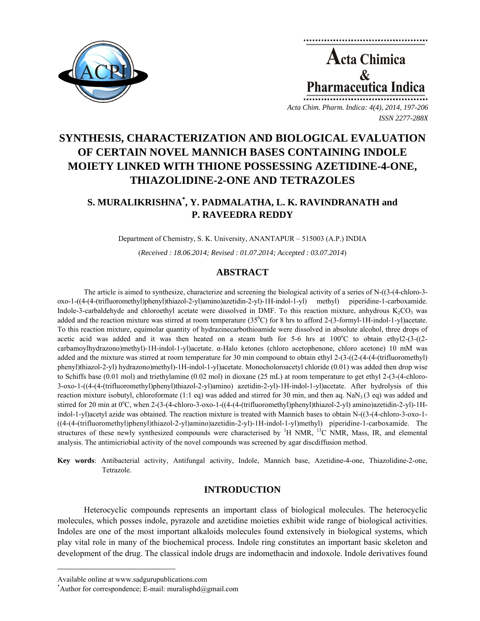

Acta Chimica  $\mathbf{\&}$ **Pharmaceutica Indica** 

*Acta Chim. Pharm. Indica: 4(4), 2014, 197-206 ISSN 2277-288X*

# **SYNTHESIS, CHARACTERIZATION AND BIOLOGICAL EVALUATION OF CERTAIN NOVEL MANNICH BASES CONTAINING INDOLE MOIETY LINKED WITH THIONE POSSESSING AZETIDINE-4-ONE, THIAZOLIDINE-2-ONE AND TETRAZOLES**

## **S. MURALIKRISHNA\* , Y. PADMALATHA, L. K. RAVINDRANATH and P. RAVEEDRA REDDY**

Department of Chemistry, S. K. University, ANANTAPUR – 515003 (A.P.) INDIA

(*Received : 18.06.2014; Revised : 01.07.2014; Accepted : 03.07.2014*)

### **ABSTRACT**

The article is aimed to synthesize, characterize and screening the biological activity of a series of N-((3-(4-chloro-3 oxo-1-((4-(4-(trifluoromethyl)phenyl)thiazol-2-yl)amino)azetidin-2-yl)-1H-indol-1-yl) methyl) piperidine-1-carboxamide. Indole-3-carbaldehyde and chloroethyl acetate were dissolved in DMF. To this reaction mixture, anhydrous  $K_2CO_3$  was added and the reaction mixture was stirred at room temperature  $(35^{\circ}C)$  for 8 hrs to afford 2-(3-formyl-1H-indol-1-yl)acetate. To this reaction mixture, equimolar quantity of hydrazinecarbothioamide were dissolved in absolute alcohol, three drops of acetic acid was added and it was then heated on a steam bath for 5-6 hrs at 100°C to obtain ethyl2-(3-((2carbamoylhydrazono)methyl)-1H-indol-1-yl)acetate. α-Halo ketones (chloro acetophenone, chloro acetone) 10 mM was added and the mixture was stirred at room temperature for 30 min compound to obtain ethyl 2-(3-((2-(4-(4-(trifluoromethyl) phenyl)thiazol-2-yl) hydrazono)methyl)-1H-indol-1-yl)acetate. Monocholoroacetyl chloride (0.01) was added then drop wise to Schiffs base (0.01 mol) and triethylamine (0.02 mol) in dioxane (25 mL) at room temperature to get ethyl 2-(3-(4-chloro-3-oxo-1-((4-(4-(trifluoromethyl)phenyl)thiazol-2-yl)amino) azetidin-2-yl)-1H-indol-1-yl)acetate. After hydrolysis of this reaction mixture isobutyl, chloroformate (1:1 eq) was added and stirred for 30 min, and then aq. NaN<sub>3</sub> (3 eq) was added and stirred for 20 min at 0<sup>o</sup>C, when 2-(3-(4-chloro-3-oxo-1-((4-(4-(trifluoromethyl)phenyl)thiazol-2-yl) amino)azetidin-2-yl)-1Hindol-1-yl)acetyl azide was obtained. The reaction mixture is treated with Mannich bases to obtain N-((3-(4-chloro-3-oxo-1- ((4-(4-(trifluoromethyl)phenyl)thiazol-2-yl)amino)azetidin-2-yl)-1H-indol-1-yl)methyl) piperidine-1-carboxamide. The structures of these newly synthesized compounds were characterised by  $H NMR$ ,  $H^3C NMR$ , Mass, IR, and elemental analysis. The antimicriobial activity of the novel compounds was screened by agar discdiffusion method.

**Key words**: Antibacterial activity, Antifungal activity, Indole, Mannich base, Azetidine-4-one, Thiazolidine-2-one, Tetrazole.

#### **INTRODUCTION**

Heterocyclic compounds represents an important class of biological molecules. The heterocyclic molecules, which posses indole, pyrazole and azetidine moieties exhibit wide range of biological activities. Indoles are one of the most important alkaloids molecules found extensively in biological systems, which play vital role in many of the biochemical process. Indole ring constitutes an important basic skeleton and development of the drug. The classical indole drugs are indomethacin and indoxole. Indole derivatives found

**\_\_\_\_\_\_\_\_\_\_\_\_\_\_\_\_\_\_\_\_\_\_\_\_\_\_\_\_\_\_\_\_\_\_\_\_\_\_\_\_**

Available online at www.sadgurupublications.com \*

<sup>\*</sup>Author for correspondence; E-mail: muralisphd $@g$ mail.com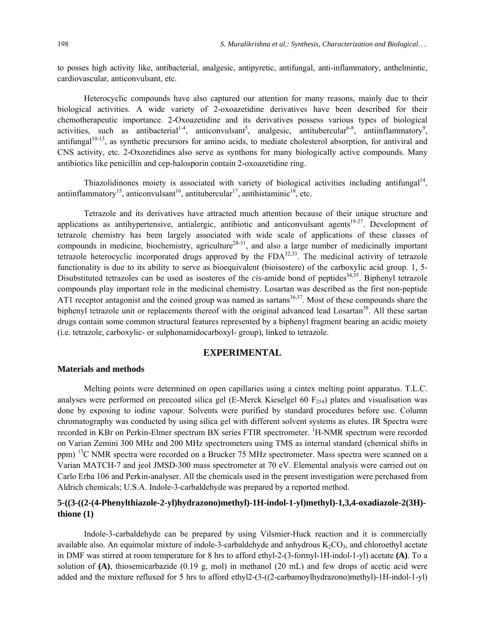to posses high activity like, antibacterial, analgesic, antipyretic, antifungal, anti-inflammatory, anthelmintic, cardiovascular, anticonvulsant, etc.

Heterocyclic compounds have also captured our attention for many reasons, mainly due to their biological activities. A wide variety of 2-oxoazetidine derivatives have been described for their chemotherapeutic importance. 2-Oxoazetidine and its derivatives possess various types of biological activities, such as antibacterial<sup>1-4</sup>, anticonvulsant<sup>5</sup>, analgesic, antitubercular<sup>6-8</sup>, antiinflammatory<sup>9</sup>, antifungal<sup>10-13</sup>, as synthetic precursors for amino acids, to mediate cholesterol absorption, for antiviral and CNS activity, etc. 2-Oxozetidines also serve as synthons for many biologically active compounds. Many antibiotics like penicillin and cep-halosporin contain 2-oxoazetidine ring.

Thiazolidinones moiety is associated with variety of biological activities including antifungal<sup>14</sup>, antiinflammatory<sup>15</sup>, anticonvulsant<sup>16</sup>, antitubercular<sup>17</sup>, antihistaminic<sup>18</sup>, etc.

Tetrazole and its derivatives have attracted much attention because of their unique structure and applications as antihypertensive, antialergic, antibiotic and anticonvulsant agents $19-27$ . Development of tetrazole chemistry has been largely associated with wide scale of applications of these classes of compounds in medicine, biochemistry, agriculture<sup>28-31</sup>, and also a large number of medicinally important tetrazole heterocyclic incorporated drugs approved by the  $FDA^{32,33}$ . The medicinal activity of tetrazole functionality is due to its ability to serve as bioequivalent (bioisostere) of the carboxylic acid group. 1, 5- Disubstituted tetrazoles can be used as isosteres of the *cis*-amide bond of peptides<sup>34,35</sup>. Biphenyl tetrazole compounds play important role in the medicinal chemistry. Losartan was described as the first non-peptide AT1 receptor antagonist and the coined group was named as sartans<sup>36,37</sup>. Most of these compounds share the biphenyl tetrazole unit or replacements thereof with the original advanced lead Losartan<sup>38</sup>. All these sartan drugs contain some common structural features represented by a biphenyl fragment bearing an acidic moiety (i.e. tetrazole, carboxylic- or sulphonamidocarboxyl- group), linked to tetrazole.

#### **EXPERIMENTAL**

#### **Materials and methods**

Melting points were determined on open capillaries using a cintex melting point apparatus. T.L.C. analyses were performed on precoated silica gel (E-Merck Kieselgel 60  $F_{254}$ ) plates and visualisation was done by exposing to iodine vapour. Solvents were purified by standard procedures before use. Column chromatography was conducted by using silica gel with different solvent systems as elutes. IR Spectra were recorded in KBr on Perkin-Elmer spectrum BX series FTIR spectrometer. <sup>1</sup>H-NMR spectrum were recorded on Varian Zemini 300 MHz and 200 MHz spectrometers using TMS as internal standard (chemical shifts in ppm) <sup>13</sup>C NMR spectra were recorded on a Brucker 75 MHz spectrometer. Mass spectra were scanned on a Varian MATCH-7 and jeol JMSD-300 mass spectrometer at 70 eV. Elemental analysis were carried out on Carlo Erba 106 and Perkin-analyser. All the chemicals used in the present investigation were perchased from Aldrich chemicals; U.S.A. Indole-3-carbaldehyde was prepared by a reported method.

### **5-((3-((2-(4-Phenylthiazole-2-yl)hydrazono)methyl)-1H-indol-1-yl)methyl)-1,3,4-oxadiazole-2(3H) thione (1)**

Indole-3-carbaldehyde can be prepared by using Vilsmier-Huck reaction and it is commercially available also. An equimolar mixture of indole-3-carbaldehyde and anhydrous  $K_2CO_3$ , and chloroethyl acetate in DMF was stirred at room temperature for 8 hrs to afford ethyl-2-(3-formyl-1H-indol-1-yl) acetate **(A)**. To a solution of **(A)**, thiosemicarbazide (0.19 g, mol) in methanol (20 mL) and few drops of acetic acid were added and the mixture refluxed for 5 hrs to afford ethyl2-(3-((2-carbamoylhydrazono)methyl)-1H-indol-1-yl)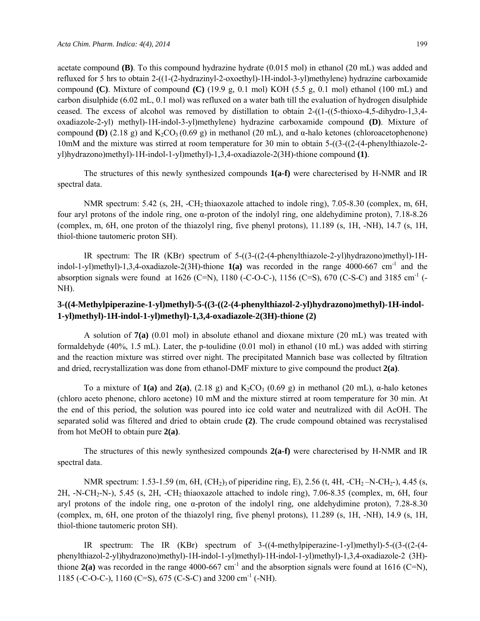acetate compound **(B)**. To this compound hydrazine hydrate (0.015 mol) in ethanol (20 mL) was added and refluxed for 5 hrs to obtain 2-((1-(2-hydrazinyl-2-oxoethyl)-1H-indol-3-yl)methylene) hydrazine carboxamide compound **(C)**. Mixture of compound **(C)** (19.9 g, 0.1 mol) KOH (5.5 g, 0.1 mol) ethanol (100 mL) and carbon disulphide (6.02 mL, 0.1 mol) was refluxed on a water bath till the evaluation of hydrogen disulphide ceased. The excess of alcohol was removed by distillation to obtain 2-((1-((5-thioxo-4,5-dihydro-1,3,4 oxadiazole-2-yl) methyl)-1H-indol-3-yl)methylene) hydrazine carboxamide compound **(D)**. Mixture of compound **(D)** (2.18 g) and K<sub>2</sub>CO<sub>3</sub> (0.69 g) in methanol (20 mL), and α-halo ketones (chloroacetophenone) 10mM and the mixture was stirred at room temperature for 30 min to obtain 5-((3-((2-(4-phenylthiazole-2 yl)hydrazono)methyl)-1H-indol-1-yl)methyl)-1,3,4-oxadiazole-2(3H)-thione compound **(1)**.

The structures of this newly synthesized compounds **1(a-f)** were charecterised by H-NMR and IR spectral data.

NMR spectrum: 5.42 (s, 2H, -CH<sub>2</sub> thiaoxazole attached to indole ring), 7.05-8.30 (complex, m, 6H, four aryl protons of the indole ring, one α-proton of the indolyl ring, one aldehydimine proton), 7.18-8.26 (complex, m, 6H, one proton of the thiazolyl ring, five phenyl protons), 11.189 (s, 1H, -NH), 14.7 (s, 1H, thiol-thione tautomeric proton SH).

IR spectrum: The IR (KBr) spectrum of 5-((3-((2-(4-phenylthiazole-2-yl)hydrazono)methyl)-1Hindol-1-yl)methyl)-1,3,4-oxadiazole-2(3H)-thione  $1(a)$  was recorded in the range 4000-667 cm<sup>-1</sup> and the absorption signals were found at 1626 (C=N), 1180 (-C-O-C-), 1156 (C=S), 670 (C-S-C) and 3185 cm<sup>-1</sup> (-NH).

### **3-((4-Methylpiperazine-1-yl)methyl)-5-((3-((2-(4-phenylthiazol-2-yl)hydrazono)methyl)-1H-indol-1-yl)methyl)-1H-indol-1-yl)methyl)-1,3,4-oxadiazole-2(3H)-thione (2)**

A solution of **7(a)** (0.01 mol) in absolute ethanol and dioxane mixture (20 mL) was treated with formaldehyde (40%, 1.5 mL). Later, the p-toulidine (0.01 mol) in ethanol (10 mL) was added with stirring and the reaction mixture was stirred over night. The precipitated Mannich base was collected by filtration and dried, recrystallization was done from ethanol-DMF mixture to give compound the product **2(a)**.

To a mixture of  $1(a)$  and  $2(a)$ ,  $(2.18 \text{ g})$  and  $K_2CO_3$   $(0.69 \text{ g})$  in methanol  $(20 \text{ mL})$ ,  $\alpha$ -halo ketones (chloro aceto phenone, chloro acetone) 10 mM and the mixture stirred at room temperature for 30 min. At the end of this period, the solution was poured into ice cold water and neutralized with dil AcOH. The separated solid was filtered and dried to obtain crude **(2)**. The crude compound obtained was recrystalised from hot MeOH to obtain pure **2(a)**.

The structures of this newly synthesized compounds **2(a-f)** were charecterised by H-NMR and IR spectral data.

NMR spectrum: 1.53-1.59 (m, 6H, (CH<sub>2</sub>)<sub>3</sub> of piperidine ring, E), 2.56 (t, 4H, -CH<sub>2</sub>-N-CH<sub>2</sub>-), 4.45 (s, 2H, -N-CH2-N-), 5.45 (s, 2H, -CH2 thiaoxazole attached to indole ring), 7.06-8.35 (complex, m, 6H, four aryl protons of the indole ring, one  $\alpha$ -proton of the indolyl ring, one aldehydimine proton), 7.28-8.30 (complex, m, 6H, one proton of the thiazolyl ring, five phenyl protons), 11.289 (s, 1H, -NH), 14.9 (s, 1H, thiol-thione tautomeric proton SH).

IR spectrum: The IR (KBr) spectrum of 3-((4-methylpiperazine-1-yl)methyl)-5-((3-((2-(4 phenylthiazol-2-yl)hydrazono)methyl)-1H-indol-1-yl)methyl)-1H-indol-1-yl)methyl)-1,3,4-oxadiazole-2 (3H) thione  $2(a)$  was recorded in the range 4000-667 cm<sup>-1</sup> and the absorption signals were found at 1616 (C=N), 1185 (-C-O-C-), 1160 (C=S), 675 (C-S-C) and 3200 cm-1 (-NH).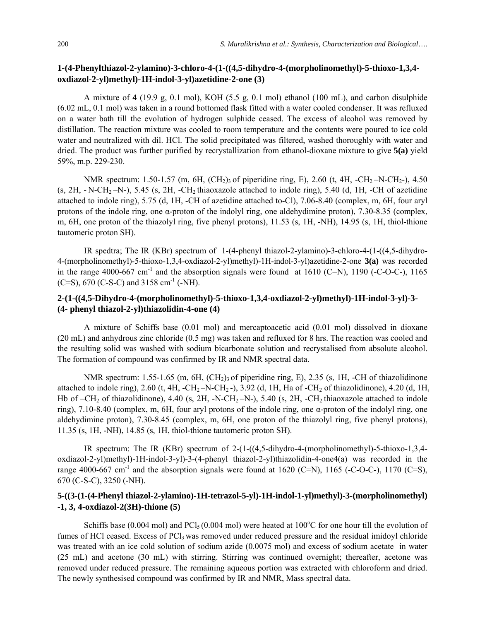### **1-(4-Phenylthiazol-2-ylamino)-3-chloro-4-(1-((4,5-dihydro-4-(morpholinomethyl)-5-thioxo-1,3,4 oxdiazol-2-yl)methyl)-1H-indol-3-yl)azetidine-2-one (3)**

A mixture of **4** (19.9 g, 0.1 mol), KOH (5.5 g, 0.1 mol) ethanol (100 mL), and carbon disulphide (6.02 mL, 0.1 mol) was taken in a round bottomed flask fitted with a water cooled condenser. It was refluxed on a water bath till the evolution of hydrogen sulphide ceased. The excess of alcohol was removed by distillation. The reaction mixture was cooled to room temperature and the contents were poured to ice cold water and neutralized with dil. HCl. The solid precipitated was filtered, washed thoroughly with water and dried. The product was further purified by recrystallization from ethanol-dioxane mixture to give **5(a)** yield 59%, m.p. 229-230.

NMR spectrum: 1.50-1.57 (m, 6H,  $(CH_2)$ <sub>3</sub> of piperidine ring, E), 2.60 (t, 4H, -CH<sub>2</sub>-N-CH<sub>2</sub>-), 4.50  $(s, 2H, -N-CH_2-N-), 5.45$   $(s, 2H, -CH_2)$  thiaoxazole attached to indole ring), 5.40 (d, 1H, -CH of azetidine attached to indole ring), 5.75 (d, 1H, -CH of azetidine attached to-Cl), 7.06-8.40 (complex, m, 6H, four aryl protons of the indole ring, one α-proton of the indolyl ring, one aldehydimine proton), 7.30-8.35 (complex, m, 6H, one proton of the thiazolyl ring, five phenyl protons), 11.53 (s, 1H, -NH), 14.95 (s, 1H, thiol-thione tautomeric proton SH).

IR spedtra; The IR (KBr) spectrum of 1-(4-phenyl thiazol-2-ylamino)-3-chloro-4-(1-((4,5-dihydro-4-(morpholinomethyl)-5-thioxo-1,3,4-oxdiazol-2-yl)methyl)-1H-indol-3-yl)azetidine-2-one **3(a)** was recorded in the range 4000-667 cm<sup>-1</sup> and the absorption signals were found at 1610 (C=N), 1190 (-C-O-C-), 1165 (C=S), 670 (C-S-C) and 3158 cm<sup>-1</sup> (-NH).

### **2-(1-((4,5-Dihydro-4-(morpholinomethyl)-5-thioxo-1,3,4-oxdiazol-2-yl)methyl)-1H-indol-3-yl)-3- (4- phenyl thiazol-2-yl)thiazolidin-4-one (4)**

A mixture of Schiffs base (0.01 mol) and mercaptoacetic acid (0.01 mol) dissolved in dioxane (20 mL) and anhydrous zinc chloride (0.5 mg) was taken and refluxed for 8 hrs. The reaction was cooled and the resulting solid was washed with sodium bicarbonate solution and recrystalised from absolute alcohol. The formation of compound was confirmed by IR and NMR spectral data.

NMR spectrum:  $1.55-1.65$  (m,  $6H$ ,  $(CH<sub>2</sub>)<sub>3</sub>$  of piperidine ring, E), 2.35 (s, 1H, -CH of thiazolidinone attached to indole ring), 2.60 (t, 4H, -CH<sub>2</sub> –N-CH<sub>2</sub> -), 3.92 (d, 1H, Ha of -CH<sub>2</sub> of thiazolidinone), 4.20 (d, 1H, Hb of  $-CH_2$  of thiazolidinone), 4.40 (s, 2H, -N-CH<sub>2</sub> $-N$ -), 5.40 (s, 2H, -CH<sub>2</sub> thiaoxazole attached to indole ring), 7.10-8.40 (complex, m, 6H, four aryl protons of the indole ring, one α-proton of the indolyl ring, one aldehydimine proton), 7.30-8.45 (complex, m, 6H, one proton of the thiazolyl ring, five phenyl protons), 11.35 (s, 1H, -NH), 14.85 (s, 1H, thiol-thione tautomeric proton SH).

IR spectrum: The IR (KBr) spectrum of 2-(1-((4,5-dihydro-4-(morpholinomethyl)-5-thioxo-1,3,4 oxdiazol-2-yl)methyl)-1H-indol-3-yl)-3-(4-phenyl thiazol-2-yl)thiazolidin-4-one4(a) was recorded in the range 4000-667 cm<sup>-1</sup> and the absorption signals were found at 1620 (C=N), 1165 (-C-O-C-), 1170 (C=S), 670 (C-S-C), 3250 (-NH).

### **5-((3-(1-(4-Phenyl thiazol-2-ylamino)-1H-tetrazol-5-yl)-1H-indol-1-yl)methyl)-3-(morpholinomethyl) -1, 3, 4-oxdiazol-2(3H)-thione (5)**

Schiffs base (0.004 mol) and  $PCl<sub>5</sub>$  (0.004 mol) were heated at 100 $^{\circ}$ C for one hour till the evolution of fumes of HCl ceased. Excess of PCl<sub>3</sub> was removed under reduced pressure and the residual imidoyl chloride was treated with an ice cold solution of sodium azide (0.0075 mol) and excess of sodium acetate in water (25 mL) and acetone (30 mL) with stirring. Stirring was continued overnight; thereafter, acetone was removed under reduced pressure. The remaining aqueous portion was extracted with chloroform and dried. The newly synthesised compound was confirmed by IR and NMR, Mass spectral data.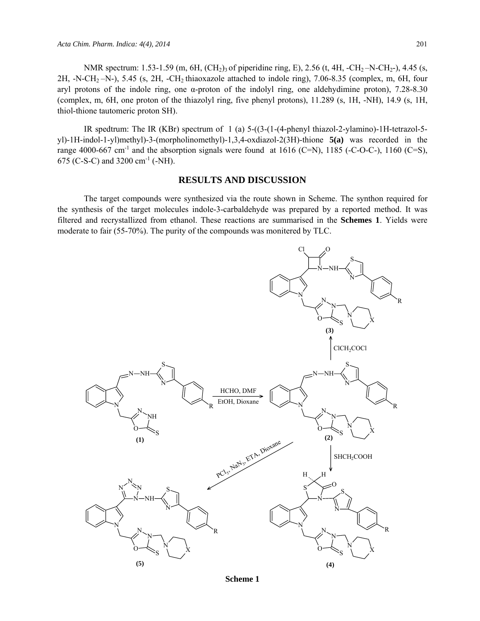NMR spectrum: 1.53-1.59 (m, 6H, (CH<sub>2</sub>)<sub>3</sub> of piperidine ring, E), 2.56 (t, 4H, -CH<sub>2</sub>-N-CH<sub>2</sub>-), 4.45 (s,  $2H$ ,  $-N-CH_2-N$ , 5.45 (s,  $2H$ ,  $-CH_2$  thiaoxazole attached to indole ring), 7.06-8.35 (complex, m, 6H, four aryl protons of the indole ring, one α-proton of the indolyl ring, one aldehydimine proton), 7.28-8.30 (complex, m, 6H, one proton of the thiazolyl ring, five phenyl protons), 11.289 (s, 1H, -NH), 14.9 (s, 1H, thiol-thione tautomeric proton SH).

IR spedtrum: The IR (KBr) spectrum of 1 (a) 5-((3-(1-(4-phenyl thiazol-2-ylamino)-1H-tetrazol-5 yl)-1H-indol-1-yl)methyl)-3-(morpholinomethyl)-1,3,4-oxdiazol-2(3H)-thione **5(a)** was recorded in the range 4000-667 cm<sup>-1</sup> and the absorption signals were found at 1616 (C=N), 1185 (-C-O-C-), 1160 (C=S), 675 (C-S-C) and 3200 cm<sup>-1</sup> (-NH).

#### **RESULTS AND DISCUSSION**

The target compounds were synthesized via the route shown in Scheme. The synthon required for the synthesis of the target molecules indole-3-carbaldehyde was prepared by a reported method. It was filtered and recrystallized from ethanol. These reactions are summarised in the **Schemes 1**. Yields were moderate to fair (55-70%). The purity of the compounds was monitered by TLC.



**Scheme 1**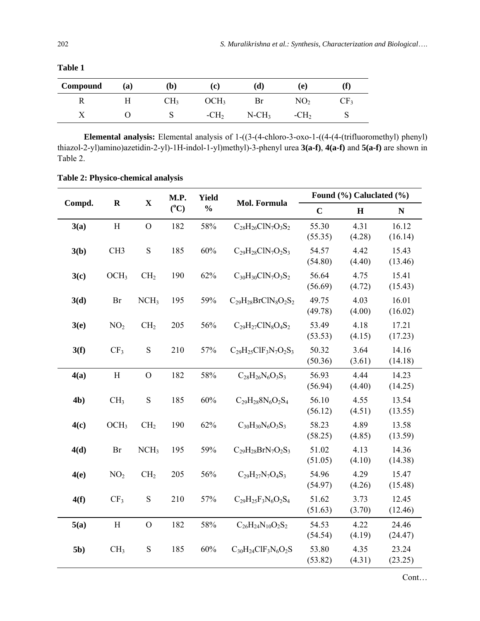| Compound | (a) | (b) | (C)                   | (d)                  | 'ei             |                 |
|----------|-----|-----|-----------------------|----------------------|-----------------|-----------------|
|          |     | CH3 | CH <sub>3</sub><br>70 | Br                   | NO <sub>2</sub> | CF <sub>3</sub> |
| ∡        |     | N   | $-CH2$                | $N$ -CH <sub>3</sub> | $-CH2$          | ◡               |

**Table 1** 

**Elemental analysis:** Elemental analysis of 1-((3-(4-chloro-3-oxo-1-((4-(4-(trifluoromethyl) phenyl) thiazol-2-yl)amino)azetidin-2-yl)-1H-indol-1-yl)methyl)-3-phenyl urea **3(a-f)**, **4(a-f)** and **5(a-f)** are shown in Table 2.

| Compd.         | M.P.<br><b>Yield</b><br>$\mathbf X$<br>$\mathbf R$<br>Mol. Formula |                  | Found (%) Caluclated (%) |               |                              |                  |                |                  |
|----------------|--------------------------------------------------------------------|------------------|--------------------------|---------------|------------------------------|------------------|----------------|------------------|
|                |                                                                    |                  | $(^{\circ}C)$            | $\frac{0}{0}$ |                              | $\mathbf C$      | $\mathbf H$    | ${\bf N}$        |
| 3(a)           | $\boldsymbol{\mathrm{H}}$                                          | $\mathcal{O}$    | 182                      | 58%           | $C_{28}H_{26}CIN_7O_3S_2$    | 55.30<br>(55.35) | 4.31<br>(4.28) | 16.12<br>(16.14) |
| 3(b)           | CH <sub>3</sub>                                                    | ${\bf S}$        | 185                      | $60\%$        | $C_{29}H_{28}CIN_7O_2S_3$    | 54.57<br>(54.80) | 4.42<br>(4.40) | 15.43<br>(13.46) |
| 3(c)           | OCH <sub>3</sub>                                                   | CH <sub>2</sub>  | 190                      | 62%           | $C_{30}H_{30}CIN_7O_3S_2$    | 56.64<br>(56.69) | 4.75<br>(4.72) | 15.41<br>(15.43) |
| 3(d)           | Br                                                                 | NCH <sub>3</sub> | 195                      | 59%           | $C_{29}H_{28}BrClN_8O_2S_2$  | 49.75<br>(49.78) | 4.03<br>(4.00) | 16.01<br>(16.02) |
| 3(e)           | NO <sub>2</sub>                                                    | CH <sub>2</sub>  | 205                      | 56%           | $C_{29}H_{27}CIN_8O_4S_2$    | 53.49<br>(53.53) | 4.18<br>(4.15) | 17.21<br>(17.23) |
| 3(f)           | CF <sub>3</sub>                                                    | ${\bf S}$        | 210                      | 57%           | $C_{29}H_{25}CIF_3N_7O_2S_3$ | 50.32<br>(50.36) | 3.64<br>(3.61) | 14.16<br>(14.18) |
| 4(a)           | $\boldsymbol{\mathrm{H}}$                                          | $\mathcal{O}$    | 182                      | 58%           | $C_{28}H_{26}N_6O_3S_3$      | 56.93<br>(56.94) | 4.44<br>(4.40) | 14.23<br>(14.25) |
| 4 <sub>b</sub> | CH <sub>3</sub>                                                    | ${\bf S}$        | 185                      | 60%           | $C_{29}H_{28}8N_6O_2S_4$     | 56.10<br>(56.12) | 4.55<br>(4.51) | 13.54<br>(13.55) |
| 4(c)           | OCH <sub>3</sub>                                                   | CH <sub>2</sub>  | 190                      | 62%           | $C_{30}H_{30}N_6O_3S_3$      | 58.23<br>(58.25) | 4.89<br>(4.85) | 13.58<br>(13.59) |
| 4(d)           | Br                                                                 | NCH <sub>3</sub> | 195                      | 59%           | $C_{29}H_{28}BrN_7O_2S_3$    | 51.02<br>(51.05) | 4.13<br>(4.10) | 14.36<br>(14.38) |
| 4(e)           | NO <sub>2</sub>                                                    | CH <sub>2</sub>  | 205                      | 56%           | $C_{29}H_{27}N_7O_4S_3$      | 54.96<br>(54.97) | 4.29<br>(4.26) | 15.47<br>(15.48) |
| 4(f)           | CF <sub>3</sub>                                                    | S                | 210                      | 57%           | $C_{29}H_{25}F_3N_6O_2S_4$   | 51.62<br>(51.63) | 3.73<br>(3.70) | 12.45<br>(12.46) |
| 5(a)           | $\boldsymbol{\mathrm{H}}$                                          | $\overline{O}$   | 182                      | 58%           | $C_{26}H_{24}N_{10}O_2S_2$   | 54.53<br>(54.54) | 4.22<br>(4.19) | 24.46<br>(24.47) |
| 5 <sub>b</sub> | CH <sub>3</sub>                                                    | ${\bf S}$        | 185                      | 60%           | $C_{30}H_{24}ClF_3N_6O_2S$   | 53.80<br>(53.82) | 4.35<br>(4.31) | 23.24<br>(23.25) |

**Table 2: Physico-chemical analysis**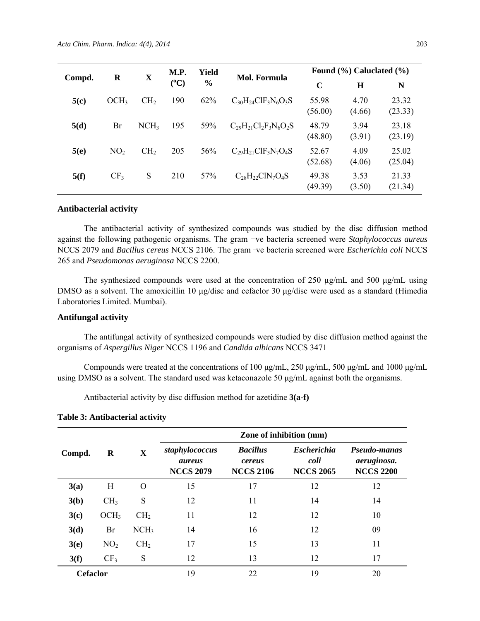| $\bf R$<br>Compd. | $\mathbf X$      | M.P.             | <b>Yield</b> | <b>Mol. Formula</b> | Found $(\% )$ Caluclated $(\% )$ |                  |                |                  |
|-------------------|------------------|------------------|--------------|---------------------|----------------------------------|------------------|----------------|------------------|
|                   |                  |                  | $(^{0}C)$    | $\%$                |                                  | $\mathbf C$      | H              | N                |
| 5(c)              | OCH <sub>3</sub> | CH <sub>2</sub>  | 190          | 62%                 | $C_{30}H_{24}CIF_3N_6O_3S$       | 55.98<br>(56.00) | 4.70<br>(4.66) | 23.32<br>(23.33) |
| 5(d)              | Br               | NCH <sub>3</sub> | 195          | 59%                 | $C_{29}H_{21}Cl_2F_3N_6O_2S$     | 48.79<br>(48.80) | 3.94<br>(3.91) | 23.18<br>(23.19) |
| 5(e)              | NO <sub>2</sub>  | CH <sub>2</sub>  | 205          | 56%                 | $C_{29}H_{21}CIF_3N_7O_4S$       | 52.67<br>(52.68) | 4.09<br>(4.06) | 25.02<br>(25.04) |
| 5(f)              | CF <sub>3</sub>  | S                | 210          | 57%                 | $C_{28}H_{22}CIN_7O_4S$          | 49.38<br>(49.39) | 3.53<br>(3.50) | 21.33<br>(21.34) |

#### **Antibacterial activity**

The antibacterial activity of synthesized compounds was studied by the disc diffusion method against the following pathogenic organisms. The gram +ve bacteria screened were *Staphylococcus aureus* NCCS 2079 and *Bacillus cereus* NCCS 2106. The gram -ve bacteria screened were *Escherichia coli* NCCS 265 and *Pseudomonas aeruginosa* NCCS 2200.

The synthesized compounds were used at the concentration of 250 µg/mL and 500 μg/mL using DMSO as a solvent. The amoxicillin 10 µg/disc and cefaclor 30 μg/disc were used as a standard (Himedia Laboratories Limited. Mumbai).

#### **Antifungal activity**

The antifungal activity of synthesized compounds were studied by disc diffusion method against the organisms of *Aspergillus Niger* NCCS 1196 and *Candida albicans* NCCS 3471

Compounds were treated at the concentrations of 100 μg/mL, 250 μg/mL, 500 μg/mL and 1000 μg/mL using DMSO as a solvent. The standard used was ketaconazole 50 μg/mL against both the organisms.

Antibacterial activity by disc diffusion method for azetidine **3(a-f)** 

**Table 3: Antibacterial activity** 

|                 |                  |                  | Zone of inhibition (mm)                      |                                               |                                                |                                                 |  |
|-----------------|------------------|------------------|----------------------------------------------|-----------------------------------------------|------------------------------------------------|-------------------------------------------------|--|
| Compd.          | R                | X                | staphylococcus<br>aureus<br><b>NCCS 2079</b> | <b>Bacillus</b><br>cereus<br><b>NCCS 2106</b> | <b>Escherichia</b><br>coli<br><b>NCCS 2065</b> | Pseudo-manas<br>aeruginosa.<br><b>NCCS 2200</b> |  |
| 3(a)            | H                | $\Omega$         | 15                                           | 17                                            | 12                                             | 12                                              |  |
| 3(b)            | CH <sub>3</sub>  | S                | 12                                           | 11                                            | 14                                             | 14                                              |  |
| 3(c)            | OCH <sub>3</sub> | CH <sub>2</sub>  | 11                                           | 12                                            | 12                                             | 10                                              |  |
| 3(d)            | Br               | NCH <sub>3</sub> | 14                                           | 16                                            | 12                                             | 09                                              |  |
| 3(e)            | NO <sub>2</sub>  | CH <sub>2</sub>  | 17                                           | 15                                            | 13                                             | 11                                              |  |
| 3(f)            | CF <sub>3</sub>  | S                | 12                                           | 13                                            | 12                                             | 17                                              |  |
| <b>Cefaclor</b> |                  |                  | 19                                           | 22                                            | 19                                             | 20                                              |  |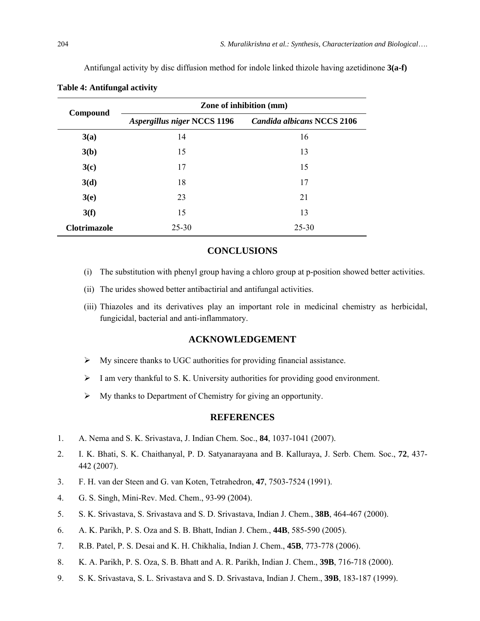Antifungal activity by disc diffusion method for indole linked thizole having azetidinone **3(a-f)** 

| Compound            | <b>Zone of inhibition (mm)</b>     |                                   |  |  |  |  |
|---------------------|------------------------------------|-----------------------------------|--|--|--|--|
|                     | <b>Aspergillus niger NCCS 1196</b> | <b>Candida albicans NCCS 2106</b> |  |  |  |  |
| 3(a)                | 14                                 | 16                                |  |  |  |  |
| 3(b)                | 15                                 | 13                                |  |  |  |  |
| 3(c)                | 17                                 | 15                                |  |  |  |  |
| 3(d)                | 18                                 | 17                                |  |  |  |  |
| 3(e)                | 23                                 | 21                                |  |  |  |  |
| 3(f)                | 15                                 | 13                                |  |  |  |  |
| <b>Clotrimazole</b> | 25-30                              | 25-30                             |  |  |  |  |

#### **Table 4: Antifungal activity**

### **CONCLUSIONS**

- (i) The substitution with phenyl group having a chloro group at p-position showed better activities.
- (ii) The urides showed better antibactirial and antifungal activities.
- (iii) Thiazoles and its derivatives play an important role in medicinal chemistry as herbicidal, fungicidal, bacterial and anti-inflammatory.

#### **ACKNOWLEDGEMENT**

- $\triangleright$  My sincere thanks to UGC authorities for providing financial assistance.
- $\triangleright$  I am very thankful to S. K. University authorities for providing good environment.
- $\triangleright$  My thanks to Department of Chemistry for giving an opportunity.

#### **REFERENCES**

- 1. A. Nema and S. K. Srivastava, J. Indian Chem. Soc., **84**, 1037-1041 (2007).
- 2. I. K. Bhati, S. K. Chaithanyal, P. D. Satyanarayana and B. Kalluraya, J. Serb. Chem. Soc., **72**, 437- 442 (2007).
- 3. F. H. van der Steen and G. van Koten, Tetrahedron, **47**, 7503-7524 (1991).
- 4. G. S. Singh, Mini-Rev. Med. Chem., 93-99 (2004).
- 5. S. K. Srivastava, S. Srivastava and S. D. Srivastava, Indian J. Chem., **38B**, 464-467 (2000).
- 6. A. K. Parikh, P. S. Oza and S. B. Bhatt, Indian J. Chem., **44B**, 585-590 (2005).
- 7. R.B. Patel, P. S. Desai and K. H. Chikhalia, Indian J. Chem., **45B**, 773-778 (2006).
- 8. K. A. Parikh, P. S. Oza, S. B. Bhatt and A. R. Parikh, Indian J. Chem., **39B**, 716-718 (2000).
- 9. S. K. Srivastava, S. L. Srivastava and S. D. Srivastava, Indian J. Chem., **39B**, 183-187 (1999).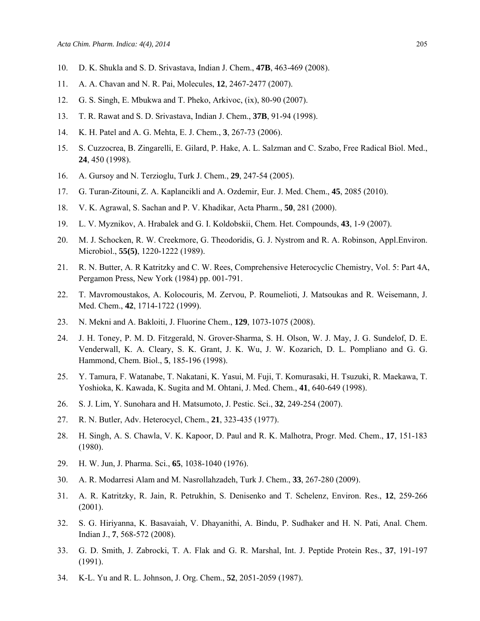- 10. D. K. Shukla and S. D. Srivastava, Indian J. Chem., **47B**, 463-469 (2008).
- 11. A. A. Chavan and N. R. Pai, Molecules, **12**, 2467-2477 (2007).
- 12. G. S. Singh, E. Mbukwa and T. Pheko, Arkivoc, (ix), 80-90 (2007).
- 13. T. R. Rawat and S. D. Srivastava, Indian J. Chem., **37B**, 91-94 (1998).
- 14. K. H. Patel and A. G. Mehta, E. J. Chem., **3**, 267-73 (2006).
- 15. S. Cuzzocrea, B. Zingarelli, E. Gilard, P. Hake, A. L. Salzman and C. Szabo, Free Radical Biol. Med., **24**, 450 (1998).
- 16. A. Gursoy and N. Terzioglu, Turk J. Chem., **29**, 247-54 (2005).
- 17. G. Turan-Zitouni, Z. A. Kaplancikli and A. Ozdemir, Eur. J. Med. Chem., **45**, 2085 (2010).
- 18. V. K. Agrawal, S. Sachan and P. V. Khadikar, Acta Pharm., **50**, 281 (2000).
- 19. L. V. Myznikov, A. Hrabalek and G. I. Koldobskii, Chem. Het. Compounds, **43**, 1-9 (2007).
- 20. M. J. Schocken, R. W. Creekmore, G. Theodoridis, G. J. Nystrom and R. A. Robinson, Appl.Environ. Microbiol., **55(5)**, 1220-1222 (1989).
- 21. R. N. Butter, A. R Katritzky and C. W. Rees, Comprehensive Heterocyclic Chemistry, Vol. 5: Part 4A, Pergamon Press, New York (1984) pp. 001-791.
- 22. T. Mavromoustakos, A. Kolocouris, M. Zervou, P. Roumelioti, J. Matsoukas and R. Weisemann, J. Med. Chem., **42**, 1714-1722 (1999).
- 23. N. Mekni and A. Bakloiti, J. Fluorine Chem., **129**, 1073-1075 (2008).
- 24. J. H. Toney, P. M. D. Fitzgerald, N. Grover-Sharma, S. H. Olson, W. J. May, J. G. Sundelof, D. E. Venderwall, K. A. Cleary, S. K. Grant, J. K. Wu, J. W. Kozarich, D. L. Pompliano and G. G. Hammond, Chem. Biol., **5**, 185-196 (1998).
- 25. Y. Tamura, F. Watanabe, T. Nakatani, K. Yasui, M. Fuji, T. Komurasaki, H. Tsuzuki, R. Maekawa, T. Yoshioka, K. Kawada, K. Sugita and M. Ohtani, J. Med. Chem., **41**, 640-649 (1998).
- 26. S. J. Lim, Y. Sunohara and H. Matsumoto, J. Pestic. Sci., **32**, 249-254 (2007).
- 27. R. N. Butler, Adv. Heterocycl, Chem., **21**, 323-435 (1977).
- 28. H. Singh, A. S. Chawla, V. K. Kapoor, D. Paul and R. K. Malhotra, Progr. Med. Chem., **17**, 151-183 (1980).
- 29. H. W. Jun, J. Pharma. Sci., **65**, 1038-1040 (1976).
- 30. A. R. Modarresi Alam and M. Nasrollahzadeh, Turk J. Chem., **33**, 267-280 (2009).
- 31. A. R. Katritzky, R. Jain, R. Petrukhin, S. Denisenko and T. Schelenz, Environ. Res., **12**, 259-266 (2001).
- 32. S. G. Hiriyanna, K. Basavaiah, V. Dhayanithi, A. Bindu, P. Sudhaker and H. N. Pati, Anal. Chem. Indian J., **7**, 568-572 (2008).
- 33. G. D. Smith, J. Zabrocki, T. A. Flak and G. R. Marshal, Int. J. Peptide Protein Res., **37**, 191-197 (1991).
- 34. K-L. Yu and R. L. Johnson, J. Org. Chem., **52**, 2051-2059 (1987).